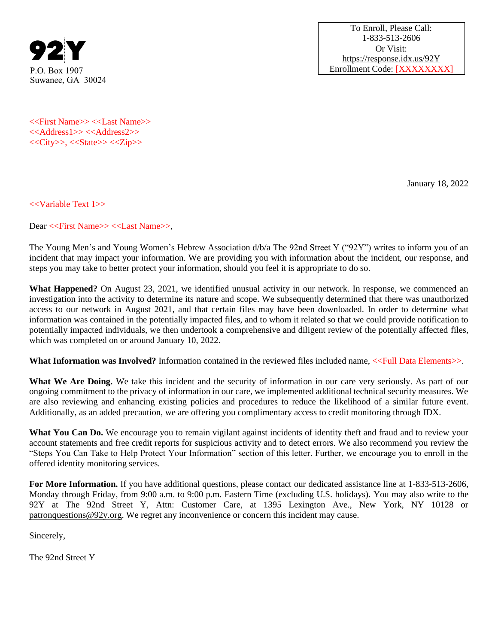

To Enroll, Please Call: 1-833-513-2606 Or Visit: <https://response.idx.us/92Y> P.O. Box 1907 **Enrollment Code:** [XXXXXXXXX]

<<First Name>> <<Last Name>> <<Address1>> <<Address2>> <<City>>, <<State>> <<Zip>>

January 18, 2022

<<Variable Text 1>>

Dear <<First Name>> <<Last Name>>,

The Young Men's and Young Women's Hebrew Association d/b/a The 92nd Street Y ("92Y") writes to inform you of an incident that may impact your information. We are providing you with information about the incident, our response, and steps you may take to better protect your information, should you feel it is appropriate to do so.

**What Happened?** On August 23, 2021, we identified unusual activity in our network. In response, we commenced an investigation into the activity to determine its nature and scope. We subsequently determined that there was unauthorized access to our network in August 2021, and that certain files may have been downloaded. In order to determine what information was contained in the potentially impacted files, and to whom it related so that we could provide notification to potentially impacted individuals, we then undertook a comprehensive and diligent review of the potentially affected files, which was completed on or around January 10, 2022.

What Information was Involved? Information contained in the reviewed files included name, <<Full Data Elements>>.

What We Are Doing. We take this incident and the security of information in our care very seriously. As part of our ongoing commitment to the privacy of information in our care, we implemented additional technical security measures. We are also reviewing and enhancing existing policies and procedures to reduce the likelihood of a similar future event. Additionally, as an added precaution, we are offering you complimentary access to credit monitoring through IDX.

What You Can Do. We encourage you to remain vigilant against incidents of identity theft and fraud and to review your account statements and free credit reports for suspicious activity and to detect errors. We also recommend you review the "Steps You Can Take to Help Protect Your Information" section of this letter. Further, we encourage you to enroll in the offered identity monitoring services.

**For More Information.** If you have additional questions, please contact our dedicated assistance line at 1-833-513-2606, Monday through Friday, from 9:00 a.m. to 9:00 p.m. Eastern Time (excluding U.S. holidays). You may also write to the 92Y at The 92nd Street Y, Attn: Customer Care, at 1395 Lexington Ave., New York, NY 10128 or patronquestions@92y.org. We regret any inconvenience or concern this incident may cause.

Sincerely,

The 92nd Street Y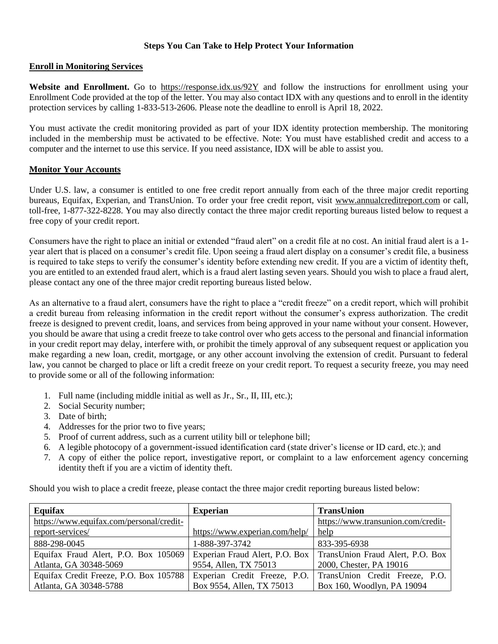## **Steps You Can Take to Help Protect Your Information**

## **Enroll in Monitoring Services**

**Website and Enrollment.** Go to<https://response.idx.us/92Y> and follow the instructions for enrollment using your Enrollment Code provided at the top of the letter. You may also contact IDX with any questions and to enroll in the identity protection services by calling 1-833-513-2606. Please note the deadline to enroll is April 18, 2022.

You must activate the credit monitoring provided as part of your IDX identity protection membership. The monitoring included in the membership must be activated to be effective. Note: You must have established credit and access to a computer and the internet to use this service. If you need assistance, IDX will be able to assist you.

## **Monitor Your Accounts**

Under U.S. law, a consumer is entitled to one free credit report annually from each of the three major credit reporting bureaus, Equifax, Experian, and TransUnion. To order your free credit report, visit www.annualcreditreport.com or call, toll-free, 1-877-322-8228. You may also directly contact the three major credit reporting bureaus listed below to request a free copy of your credit report.

Consumers have the right to place an initial or extended "fraud alert" on a credit file at no cost. An initial fraud alert is a 1 year alert that is placed on a consumer's credit file. Upon seeing a fraud alert display on a consumer's credit file, a business is required to take steps to verify the consumer's identity before extending new credit. If you are a victim of identity theft, you are entitled to an extended fraud alert, which is a fraud alert lasting seven years. Should you wish to place a fraud alert, please contact any one of the three major credit reporting bureaus listed below.

As an alternative to a fraud alert, consumers have the right to place a "credit freeze" on a credit report, which will prohibit a credit bureau from releasing information in the credit report without the consumer's express authorization. The credit freeze is designed to prevent credit, loans, and services from being approved in your name without your consent. However, you should be aware that using a credit freeze to take control over who gets access to the personal and financial information in your credit report may delay, interfere with, or prohibit the timely approval of any subsequent request or application you make regarding a new loan, credit, mortgage, or any other account involving the extension of credit. Pursuant to federal law, you cannot be charged to place or lift a credit freeze on your credit report. To request a security freeze, you may need to provide some or all of the following information:

- 1. Full name (including middle initial as well as Jr., Sr., II, III, etc.);
- 2. Social Security number;
- 3. Date of birth;
- 4. Addresses for the prior two to five years;
- 5. Proof of current address, such as a current utility bill or telephone bill;
- 6. A legible photocopy of a government-issued identification card (state driver's license or ID card, etc.); and
- 7. A copy of either the police report, investigative report, or complaint to a law enforcement agency concerning identity theft if you are a victim of identity theft.

Should you wish to place a credit freeze, please contact the three major credit reporting bureaus listed below:

| Equifax                                  | <b>Experian</b>                | <b>TransUnion</b>                  |
|------------------------------------------|--------------------------------|------------------------------------|
| https://www.equifax.com/personal/credit- |                                | https://www.transunion.com/credit- |
| report-services/                         | https://www.experian.com/help/ | help                               |
| 888-298-0045                             | 1-888-397-3742                 | 833-395-6938                       |
| Equifax Fraud Alert, P.O. Box 105069     | Experian Fraud Alert, P.O. Box | TransUnion Fraud Alert, P.O. Box   |
| Atlanta, GA 30348-5069                   | 9554, Allen, TX 75013          | 2000, Chester, PA 19016            |
| Equifax Credit Freeze, P.O. Box 105788   | Experian Credit Freeze, P.O.   | TransUnion Credit Freeze, P.O.     |
| Atlanta, GA 30348-5788                   | Box 9554, Allen, TX 75013      | Box 160, Woodlyn, PA 19094         |